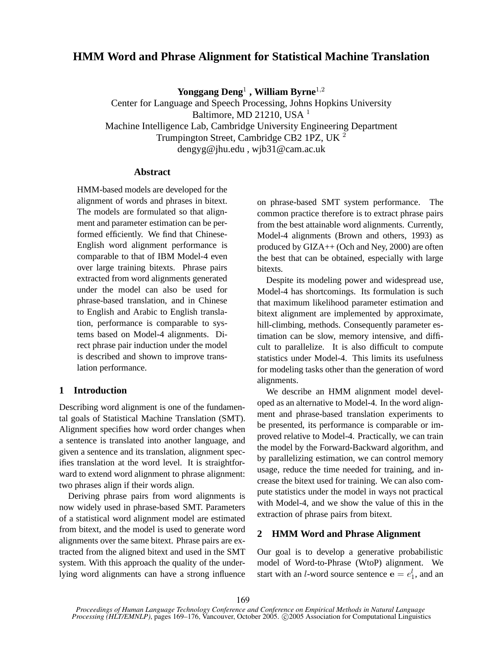# **HMM Word and Phrase Alignment for Statistical Machine Translation**

**Yonggang Deng**<sup>1</sup> **, William Byrne**<sup>1</sup>,<sup>2</sup>

Center for Language and Speech Processing, Johns Hopkins University Baltimore, MD 21210, USA <sup>1</sup> Machine Intelligence Lab, Cambridge University Engineering Department Trumpington Street, Cambridge CB2 1PZ, UK <sup>2</sup> dengyg@jhu.edu , wjb31@cam.ac.uk

# **Abstract**

HMM-based models are developed for the alignment of words and phrases in bitext. The models are formulated so that alignment and parameter estimation can be performed efficiently. We find that Chinese-English word alignment performance is comparable to that of IBM Model-4 even over large training bitexts. Phrase pairs extracted from word alignments generated under the model can also be used for phrase-based translation, and in Chinese to English and Arabic to English translation, performance is comparable to systems based on Model-4 alignments. Direct phrase pair induction under the model is described and shown to improve translation performance.

# **1 Introduction**

Describing word alignment is one of the fundamental goals of Statistical Machine Translation (SMT). Alignment specifies how word order changes when a sentence is translated into another language, and given a sentence and its translation, alignment specifies translation at the word level. It is straightforward to extend word alignment to phrase alignment: two phrases align if their words align.

Deriving phrase pairs from word alignments is now widely used in phrase-based SMT. Parameters of a statistical word alignment model are estimated from bitext, and the model is used to generate word alignments over the same bitext. Phrase pairs are extracted from the aligned bitext and used in the SMT system. With this approach the quality of the underlying word alignments can have a strong influence on phrase-based SMT system performance. The common practice therefore is to extract phrase pairs from the best attainable word alignments. Currently, Model-4 alignments (Brown and others, 1993) as produced by GIZA++ (Och and Ney, 2000) are often the best that can be obtained, especially with large bitexts.

Despite its modeling power and widespread use, Model-4 has shortcomings. Its formulation is such that maximum likelihood parameter estimation and bitext alignment are implemented by approximate, hill-climbing, methods. Consequently parameter estimation can be slow, memory intensive, and difficult to parallelize. It is also difficult to compute statistics under Model-4. This limits its usefulness for modeling tasks other than the generation of word alignments.

We describe an HMM alignment model developed as an alternative to Model-4. In the word alignment and phrase-based translation experiments to be presented, its performance is comparable or improved relative to Model-4. Practically, we can train the model by the Forward-Backward algorithm, and by parallelizing estimation, we can control memory usage, reduce the time needed for training, and increase the bitext used for training. We can also compute statistics under the model in ways not practical with Model-4, and we show the value of this in the extraction of phrase pairs from bitext.

# **2 HMM Word and Phrase Alignment**

Our goal is to develop a generative probabilistic model of Word-to-Phrase (WtoP) alignment. We start with an *l*-word source sentence  $\mathbf{e} = e_1^l$ , and an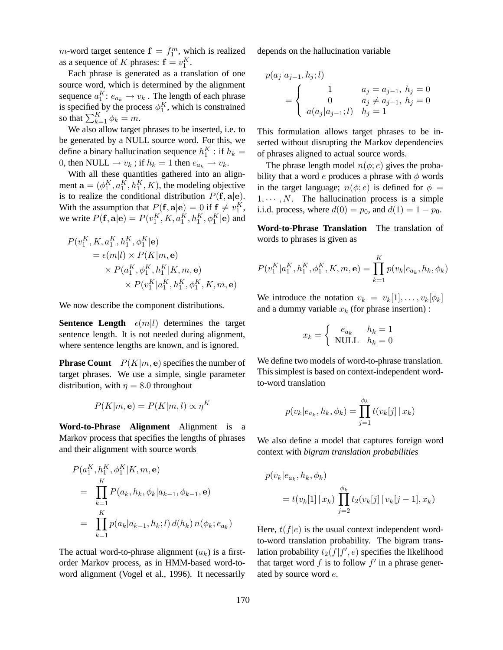*m*-word target sentence  $\mathbf{f} = f_1^m$ , which is realized as a sequence of K phrases:  $\mathbf{f} = v_1^K$ .

Each phrase is generated as a translation of one source word, which is determined by the alignment sequence  $a_1^K$ :  $e_{a_k} \to v_k$ . The length of each phrase is specified by the process  $\phi_1^K$ , which is constrained so that  $\sum_{k=1}^{K} \phi_k = m$ .

We also allow target phrases to be inserted, i.e. to be generated by a NULL source word. For this, we define a binary hallucination sequence  $h_1^K$ : if  $h_k =$ 0, then NULL  $\rightarrow v_k$ ; if  $h_k = 1$  then  $e_{a_k} \rightarrow v_k$ .

With all these quantities gathered into an alignment  $\mathbf{a} = (\phi_1^K, a_1^K, h_1^K, K)$ , the modeling objective is to realize the conditional distribution  $P(f, a|e)$ . With the assumption that  $P(\mathbf{f}, \mathbf{a} | \mathbf{e}) = 0$  if  $\mathbf{f} \neq v_1^K$ , we write  $P(\mathbf{f}, \mathbf{a} | \mathbf{e}) = P(v_1^K, K, a_1^K, h_1^K, \phi_1^K | \mathbf{e})$  and

$$
P(v_1^K, K, a_1^K, h_1^K, \phi_1^K | \mathbf{e})
$$
  
=  $\epsilon(m|l) \times P(K|m, \mathbf{e})$   
 $\times P(a_1^K, \phi_1^K, h_1^K | K, m, \mathbf{e})$   
 $\times P(v_1^K | a_1^K, h_1^K, \phi_1^K, K, m, \mathbf{e})$ 

We now describe the component distributions.

**Sentence Length**  $\epsilon(m|l)$  determines the target sentence length. It is not needed during alignment, where sentence lengths are known, and is ignored.

**Phrase Count**  $P(K|m, e)$  specifies the number of target phrases. We use a simple, single parameter distribution, with  $\eta = 8.0$  throughout

$$
P(K|m, \mathbf{e}) = P(K|m, l) \propto \eta^{K}
$$

**Word-to-Phrase Alignment** Alignment is a Markov process that specifies the lengths of phrases and their alignment with source words

$$
P(a_1^K, h_1^K, \phi_1^K | K, m, \mathbf{e})
$$
  
= 
$$
\prod_{k=1}^K P(a_k, h_k, \phi_k | a_{k-1}, \phi_{k-1}, \mathbf{e})
$$
  
= 
$$
\prod_{k=1}^K p(a_k | a_{k-1}, h_k; l) d(h_k) n(\phi_k; e_{a_k})
$$

The actual word-to-phrase alignment  $(a_k)$  is a firstorder Markov process, as in HMM-based word-toword alignment (Vogel et al., 1996). It necessarily depends on the hallucination variable

$$
p(a_j|a_{j-1}, h_j; l)
$$
  
= 
$$
\begin{cases} 1 & a_j = a_{j-1}, h_j = 0\\ 0 & a_j \neq a_{j-1}, h_j = 0\\ a(a_j|a_{j-1}; l) & h_j = 1 \end{cases}
$$

This formulation allows target phrases to be inserted without disrupting the Markov dependencies of phrases aligned to actual source words.

The phrase length model  $n(\phi; e)$  gives the probability that a word e produces a phrase with  $\phi$  words in the target language;  $n(\phi; e)$  is defined for  $\phi =$  $1, \dots, N$ . The hallucination process is a simple i.i.d. process, where  $d(0) = p_0$ , and  $d(1) = 1 - p_0$ .

**Word-to-Phrase Translation** The translation of words to phrases is given as

$$
P(v_1^K|a_1^K, h_1^K, \phi_1^K, K, m, \mathbf{e}) = \prod_{k=1}^K p(v_k|e_{a_k}, h_k, \phi_k)
$$

We introduce the notation  $v_k = v_k[1], \ldots, v_k[\phi_k]$ and a dummy variable  $x_k$  (for phrase insertion) :

$$
x_k = \begin{cases} e_{a_k} & h_k = 1\\ \text{NULL} & h_k = 0 \end{cases}
$$

We define two models of word-to-phrase translation. This simplest is based on context-independent wordto-word translation

$$
p(v_k|e_{a_k}, h_k, \phi_k) = \prod_{j=1}^{\phi_k} t(v_k[j] | x_k)
$$

We also define a model that captures foreign word context with *bigram translation probabilities*

$$
p(v_k|e_{a_k}, h_k, \phi_k)
$$
  
=  $t(v_k[1] | x_k) \prod_{j=2}^{\phi_k} t_2(v_k[j] | v_k[j-1], x_k)$ 

Here,  $t(f|e)$  is the usual context independent wordto-word translation probability. The bigram translation probability  $t_2(f|f',e)$  specifies the likelihood that target word  $f$  is to follow  $f'$  in a phrase generated by source word e.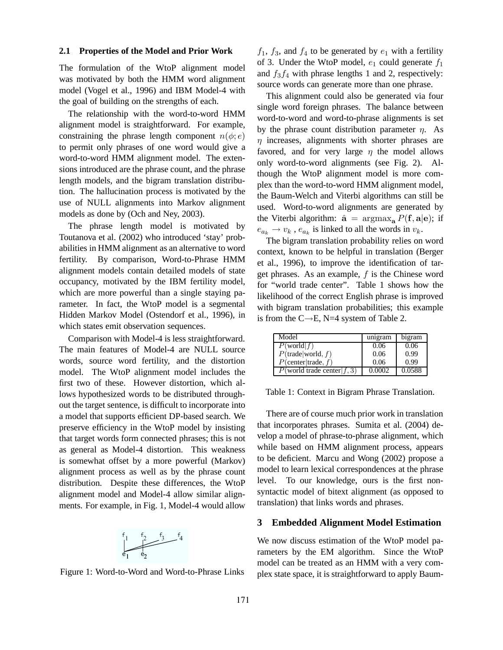#### **2.1 Properties of the Model and Prior Work**

The formulation of the WtoP alignment model was motivated by both the HMM word alignment model (Vogel et al., 1996) and IBM Model-4 with the goal of building on the strengths of each.

The relationship with the word-to-word HMM alignment model is straightforward. For example, constraining the phrase length component  $n(\phi; e)$ to permit only phrases of one word would give a word-to-word HMM alignment model. The extensions introduced are the phrase count, and the phrase length models, and the bigram translation distribution. The hallucination process is motivated by the use of NULL alignments into Markov alignment models as done by (Och and Ney, 2003).

The phrase length model is motivated by Toutanova et al. (2002) who introduced 'stay' probabilities in HMM alignment as an alternative to word fertility. By comparison, Word-to-Phrase HMM alignment models contain detailed models of state occupancy, motivated by the IBM fertility model, which are more powerful than a single staying parameter. In fact, the WtoP model is a segmental Hidden Markov Model (Ostendorf et al., 1996), in which states emit observation sequences.

Comparison with Model-4 is less straightforward. The main features of Model-4 are NULL source words, source word fertility, and the distortion model. The WtoP alignment model includes the first two of these. However distortion, which allows hypothesized words to be distributed throughout the target sentence, is difficult to incorporate into a model that supports efficient DP-based search. We preserve efficiency in the WtoP model by insisting that target words form connected phrases; this is not as general as Model-4 distortion. This weakness is somewhat offset by a more powerful (Markov) alignment process as well as by the phrase count distribution. Despite these differences, the WtoP alignment model and Model-4 allow similar alignments. For example, in Fig. 1, Model-4 would allow



Figure 1: Word-to-Word and Word-to-Phrase Links

 $f_1$ ,  $f_3$ , and  $f_4$  to be generated by  $e_1$  with a fertility of 3. Under the WtoP model,  $e_1$  could generate  $f_1$ and  $f_3f_4$  with phrase lengths 1 and 2, respectively: source words can generate more than one phrase.

This alignment could also be generated via four single word foreign phrases. The balance between word-to-word and word-to-phrase alignments is set by the phrase count distribution parameter  $\eta$ . As  $\eta$  increases, alignments with shorter phrases are favored, and for very large  $\eta$  the model allows only word-to-word alignments (see Fig. 2). Although the WtoP alignment model is more complex than the word-to-word HMM alignment model, the Baum-Welch and Viterbi algorithms can still be used. Word-to-word alignments are generated by the Viterbi algorithm:  $\hat{\mathbf{a}} = \arg \max_{\mathbf{a}} P(\mathbf{f}, \mathbf{a} | \mathbf{e})$ ; if  $e_{a_k} \to v_k$ ,  $e_{a_k}$  is linked to all the words in  $v_k$ .

The bigram translation probability relies on word context, known to be helpful in translation (Berger et al., 1996), to improve the identification of target phrases. As an example,  $f$  is the Chinese word for "world trade center". Table 1 shows how the likelihood of the correct English phrase is improved with bigram translation probabilities; this example is from the  $C\rightarrow E$ , N=4 system of Table 2.

| Model                       | unigram | bigram |
|-----------------------------|---------|--------|
| $P(\text{world} f)$         | 0.06    | 0.06   |
| $P$ (trade world, f)        | 0.06    | 0.99   |
| $P$ (center trade, f)       | 0.06    | 0.99   |
| P(world trade center $f(3)$ | 0.0002  | 0.0588 |

Table 1: Context in Bigram Phrase Translation.

There are of course much prior work in translation that incorporates phrases. Sumita et al. (2004) develop a model of phrase-to-phrase alignment, which while based on HMM alignment process, appears to be deficient. Marcu and Wong (2002) propose a model to learn lexical correspondences at the phrase level. To our knowledge, ours is the first nonsyntactic model of bitext alignment (as opposed to translation) that links words and phrases.

### **3 Embedded Alignment Model Estimation**

We now discuss estimation of the WtoP model parameters by the EM algorithm. Since the WtoP model can be treated as an HMM with a very complex state space, it is straightforward to apply Baum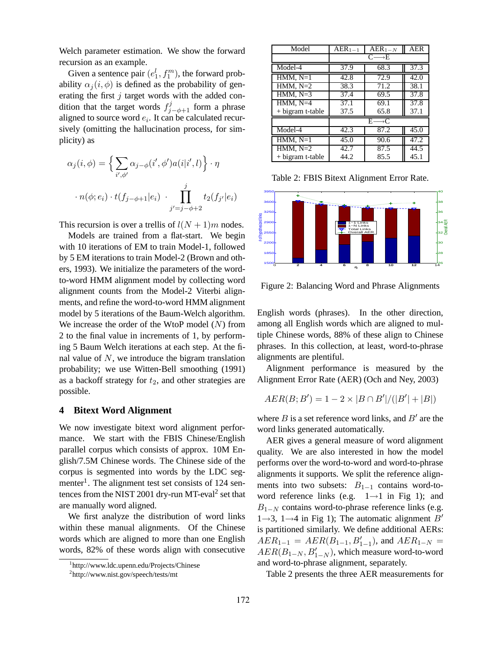Welch parameter estimation. We show the forward recursion as an example.

Given a sentence pair  $(e_1^l, f_1^m)$ , the forward probability  $\alpha_i(i, \phi)$  is defined as the probability of generating the first  $j$  target words with the added condition that the target words  $f_{j-\phi+1}^j$  form a phrase aligned to source word  $e_i$ . It can be calculated recursively (omitting the hallucination process, for simplicity) as

$$
\alpha_j(i,\phi) = \left\{ \sum_{i',\phi'} \alpha_{j-\phi}(i',\phi') a(i|i',l) \right\} \cdot \eta
$$

$$
\cdot n(\phi;e_i) \cdot t(f_{j-\phi+1}|e_i) \cdot \prod_{j'=j-\phi+2}^{j} t_2(f_{j'}|e_i)
$$

This recursion is over a trellis of  $l(N + 1)m$  nodes.

Models are trained from a flat-start. We begin with 10 iterations of EM to train Model-1, followed by 5 EM iterations to train Model-2 (Brown and others, 1993). We initialize the parameters of the wordto-word HMM alignment model by collecting word alignment counts from the Model-2 Viterbi alignments, and refine the word-to-word HMM alignment model by 5 iterations of the Baum-Welch algorithm. We increase the order of the WtoP model  $(N)$  from 2 to the final value in increments of 1, by performing 5 Baum Welch iterations at each step. At the final value of  $N$ , we introduce the bigram translation probability; we use Witten-Bell smoothing (1991) as a backoff strategy for  $t_2$ , and other strategies are possible.

# **4 Bitext Word Alignment**

We now investigate bitext word alignment performance. We start with the FBIS Chinese/English parallel corpus which consists of approx. 10M English/7.5M Chinese words. The Chinese side of the corpus is segmented into words by the LDC segmenter<sup>1</sup>. The alignment test set consists of 124 sentences from the NIST 2001 dry-run MT-eval<sup>2</sup> set that are manually word aligned.

We first analyze the distribution of word links within these manual alignments. Of the Chinese words which are aligned to more than one English words, 82% of these words align with consecutive

| Model            | $AER_{1-1}$       | $\overline{\text{AER}}_{1-N}$ | <b>AER</b>        |  |  |  |  |
|------------------|-------------------|-------------------------------|-------------------|--|--|--|--|
|                  | $C \rightarrow E$ |                               |                   |  |  |  |  |
| Model-4          | 37.9              | 68.3                          | 37.3              |  |  |  |  |
| $HMM, N=1$       | $\overline{42.8}$ | 72.9                          | 42.0              |  |  |  |  |
| $HMM, N=2$       | 38.3              | 71.2                          | 38.1              |  |  |  |  |
| HMM, $N=3$       | 37.4              | $\overline{37.8}$             |                   |  |  |  |  |
| $HMM, N=4$       | 37.1              | 69.1                          | 37.8              |  |  |  |  |
| + bigram t-table | 37.5              | 37.1                          |                   |  |  |  |  |
|                  | $E \rightarrow C$ |                               |                   |  |  |  |  |
| Model-4          | 42.3              | 87.2                          | 45.0              |  |  |  |  |
| $HMM, N=1$       | 45.0              | 90.6                          | $\overline{47.2}$ |  |  |  |  |
| $HMM, N=2$       | 42.7              | 87.5                          | 44.5              |  |  |  |  |
| + bigram t-table | 44.2              | 85.5                          | 45.1              |  |  |  |  |

Table 2: FBIS Bitext Alignment Error Rate.



Figure 2: Balancing Word and Phrase Alignments

English words (phrases). In the other direction, among all English words which are aligned to multiple Chinese words, 88% of these align to Chinese phrases. In this collection, at least, word-to-phrase alignments are plentiful.

Alignment performance is measured by the Alignment Error Rate (AER) (Och and Ney, 2003)

$$
AER(B;B') = 1 - 2 \times |B \cap B'| / (|B'| + |B|)
$$

where  $B$  is a set reference word links, and  $B'$  are the word links generated automatically.

AER gives a general measure of word alignment quality. We are also interested in how the model performs over the word-to-word and word-to-phrase alignments it supports. We split the reference alignments into two subsets:  $B_{1-1}$  contains word-toword reference links (e.g.  $1 \rightarrow 1$  in Fig 1); and  $B_{1-N}$  contains word-to-phrase reference links (e.g.  $1\rightarrow 3$ ,  $1\rightarrow 4$  in Fig 1); The automatic alignment B' is partitioned similarly. We define additional AERs:  $AER_{1-1} = AER(B_{1-1}, B'_{1-1})$ , and  $AER_{1-N} =$  $AER(B_{1-N}, B'_{1-N})$ , which measure word-to-word and word-to-phrase alignment, separately.

Table 2 presents the three AER measurements for

<sup>1</sup> http://www.ldc.upenn.edu/Projects/Chinese

<sup>2</sup> http://www.nist.gov/speech/tests/mt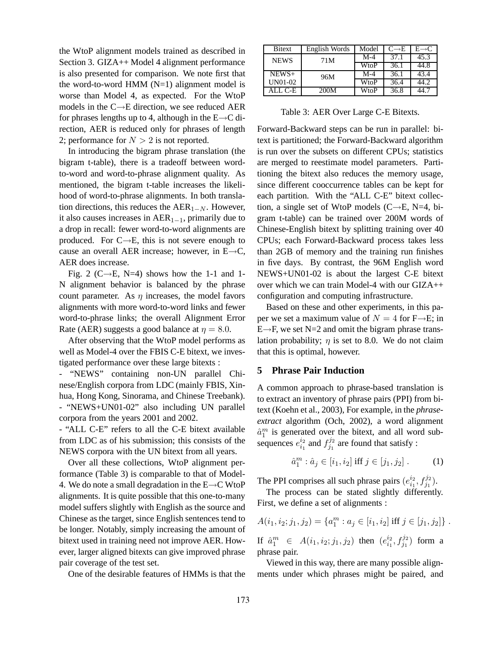the WtoP alignment models trained as described in Section 3. GIZA++ Model 4 alignment performance is also presented for comparison. We note first that the word-to-word HMM  $(N=1)$  alignment model is worse than Model 4, as expected. For the WtoP models in the C→E direction, we see reduced AER for phrases lengths up to 4, although in the  $E\rightarrow C$  direction, AER is reduced only for phrases of length 2; performance for  $N > 2$  is not reported.

In introducing the bigram phrase translation (the bigram t-table), there is a tradeoff between wordto-word and word-to-phrase alignment quality. As mentioned, the bigram t-table increases the likelihood of word-to-phrase alignments. In both translation directions, this reduces the  $AER_{1-N}$ . However, it also causes increases in  $AER_{1-1}$ , primarily due to a drop in recall: fewer word-to-word alignments are produced. For  $C \rightarrow E$ , this is not severe enough to cause an overall AER increase; however, in  $E\rightarrow C$ , AER does increase.

Fig. 2 (C $\rightarrow$ E, N=4) shows how the 1-1 and 1-N alignment behavior is balanced by the phrase count parameter. As  $\eta$  increases, the model favors alignments with more word-to-word links and fewer word-to-phrase links; the overall Alignment Error Rate (AER) suggests a good balance at  $\eta = 8.0$ .

After observing that the WtoP model performs as well as Model-4 over the FBIS C-E bitext, we investigated performance over these large bitexts :

- "NEWS" containing non-UN parallel Chinese/English corpora from LDC (mainly FBIS, Xinhua, Hong Kong, Sinorama, and Chinese Treebank). - "NEWS+UN01-02" also including UN parallel corpora from the years 2001 and 2002.

- "ALL C-E" refers to all the C-E bitext available from LDC as of his submission; this consists of the NEWS corpora with the UN bitext from all years.

Over all these collections, WtoP alignment performance (Table 3) is comparable to that of Model-4. We do note a small degradation in the  $E\rightarrow C Wt0P$ alignments. It is quite possible that this one-to-many model suffers slightly with English as the source and Chinese as the target, since English sentences tend to be longer. Notably, simply increasing the amount of bitext used in training need not improve AER. However, larger aligned bitexts can give improved phrase pair coverage of the test set.

One of the desirable features of HMMs is that the

| <b>Bitext</b> | English Words | Model | $C \rightarrow E$ | $E \rightarrow C$ |
|---------------|---------------|-------|-------------------|-------------------|
| <b>NEWS</b>   | 71M           | $M-4$ | 37.1              | 45.3              |
|               |               | WtoP  | 36.1              | 44.8              |
| $NEWS+$       | 96M           | $M-4$ | 36.1              | 43.4              |
| UN01-02       |               | WtoP  | 36.4              | 44.2              |
| ALL C-E-      | 200M          | WtoP  | 36.8              | 44.7              |

Table 3: AER Over Large C-E Bitexts.

Forward-Backward steps can be run in parallel: bitext is partitioned; the Forward-Backward algorithm is run over the subsets on different CPUs; statistics are merged to reestimate model parameters. Partitioning the bitext also reduces the memory usage, since different cooccurrence tables can be kept for each partition. With the "ALL C-E" bitext collection, a single set of WtoP models ( $C \rightarrow E$ , N=4, bigram t-table) can be trained over 200M words of Chinese-English bitext by splitting training over 40 CPUs; each Forward-Backward process takes less than 2GB of memory and the training run finishes in five days. By contrast, the 96M English word NEWS+UN01-02 is about the largest C-E bitext over which we can train Model-4 with our GIZA++ configuration and computing infrastructure.

Based on these and other experiments, in this paper we set a maximum value of  $N = 4$  for F $\rightarrow$ E; in  $E \rightarrow F$ , we set N=2 and omit the bigram phrase translation probability;  $\eta$  is set to 8.0. We do not claim that this is optimal, however.

# **5 Phrase Pair Induction**

A common approach to phrase-based translation is to extract an inventory of phrase pairs (PPI) from bitext (Koehn et al., 2003), For example, in the *phraseextract* algorithm (Och, 2002), a word alignment  $\hat{a}_1^m$  is generated over the bitext, and all word subsequences  $e_{i_1}^{i_2}$  $i_1^{i_2}$  and  $f_{j_1}^{j_2}$  $j_1^{j_2}$  are found that satisfy :

$$
\hat{a}_1^m : \hat{a}_j \in [i_1, i_2] \text{ iff } j \in [j_1, j_2]. \tag{1}
$$

The PPI comprises all such phrase pairs  $(e_{i_1}^{i_2})$  $i_1^{i_2}, f_{j_1}^{j_2}$ ).

The process can be stated slightly differently. First, we define a set of alignments :

$$
A(i_1, i_2; j_1, j_2) = \{a_1^m : a_j \in [i_1, i_2] \text{ iff } j \in [j_1, j_2] \}.
$$

If  $\hat{a}_1^m \in A(i_1, i_2; j_1, j_2)$  then  $(e_{i_1}^{i_2})$  $i_1^{i_2}, f_{j_1}^{j_2})$  form a phrase pair.

Viewed in this way, there are many possible alignments under which phrases might be paired, and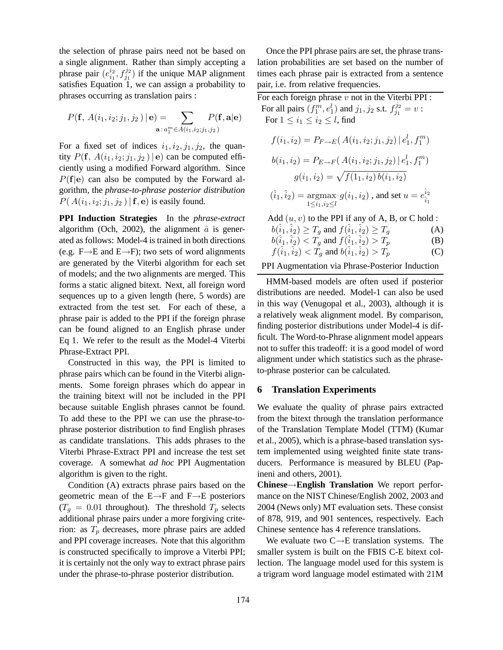the selection of phrase pairs need not be based on a single alignment. Rather than simply accepting a phrase pair  $(e_{i_1}^{i_2})$  $i_1^{i_2}$ ,  $f_{j_1}^{j_2}$ ) if the unique MAP alignment satisfies Equation 1, we can assign a probability to phrases occurring as translation pairs :

$$
P(\mathbf{f}, A(i_1, i_2; j_1, j_2) | \mathbf{e}) = \sum_{\mathbf{a}: a_1^m \in A(i_1, i_2; j_1, j_2)} P(\mathbf{f}, \mathbf{a} | \mathbf{e})
$$

For a fixed set of indices  $i_1, i_2, j_1, j_2$ , the quantity  $P(\mathbf{f}, A(i_1, i_2; j_1, j_2) | \mathbf{e})$  can be computed efficiently using a modified Forward algorithm. Since  $P(f|e)$  can also be computed by the Forward algorithm, the *phrase-to-phrase posterior distribution*  $P(A(i_1, i_2; j_1, j_2) | \mathbf{f}, \mathbf{e})$  is easily found.

**PPI Induction Strategies** In the *phrase-extract* algorithm (Och, 2002), the alignment  $\hat{a}$  is generated as follows: Model-4 is trained in both directions (e.g.  $F\rightarrow E$  and  $E\rightarrow F$ ); two sets of word alignments are generated by the Viterbi algorithm for each set of models; and the two alignments are merged. This forms a static aligned bitext. Next, all foreign word sequences up to a given length (here, 5 words) are extracted from the test set. For each of these, a phrase pair is added to the PPI if the foreign phrase can be found aligned to an English phrase under Eq 1. We refer to the result as the Model-4 Viterbi Phrase-Extract PPI.

Constructed in this way, the PPI is limited to phrase pairs which can be found in the Viterbi alignments. Some foreign phrases which do appear in the training bitext will not be included in the PPI because suitable English phrases cannot be found. To add these to the PPI we can use the phrase-tophrase posterior distribution to find English phrases as candidate translations. This adds phrases to the Viterbi Phrase-Extract PPI and increase the test set coverage. A somewhat *ad hoc* PPI Augmentation algorithm is given to the right.

Condition (A) extracts phrase pairs based on the geometric mean of the E→F and F→E posteriors  $(T_q = 0.01$  throughout). The threshold  $T_p$  selects additional phrase pairs under a more forgiving criterion: as  $T_p$  decreases, more phrase pairs are added and PPI coverage increases. Note that this algorithm is constructed specifically to improve a Viterbi PPI; it is certainly not the only way to extract phrase pairs under the phrase-to-phrase posterior distribution.

Once the PPI phrase pairs are set, the phrase translation probabilities are set based on the number of times each phrase pair is extracted from a sentence pair, i.e. from relative frequencies.

For each foreign phrase  $v$  not in the Viterbi PPI : For all pairs  $(f_1^m, e_1^l)$  and  $j_1, j_2$  s.t.  $f_{j_1}^{j_2}$  $j_1^{j_2}=v$  : For  $1 \leq i_1 \leq i_2 \leq l$ , find

$$
f(i_1, i_2) = P_{F \to E}(A(i_1, i_2; j_1, j_2) | e_1^l, f_1^m)
$$
  
\n
$$
b(i_1, i_2) = P_{E \to F}(A(i_1, i_2; j_1, j_2) | e_1^l, f_1^m)
$$
  
\n
$$
g(i_1, i_2) = \sqrt{f(1_1, i_2) b(i_1, i_2)}
$$
  
\n
$$
(\hat{i}_1, \hat{i}_2) = \underset{1 \le i_1, i_2 \le l}{\text{argmax}} g(i_1, i_2), \text{ and set } u = e_{\hat{i}_1}^{\hat{i}_2}
$$

Add  $(u, v)$  to the PPI if any of A, B, or C hold :

$$
b(\hat{i}_1, \hat{i}_2) \ge T_g \text{ and } f(\hat{i}_1, \hat{i}_2) \ge T_g \tag{A}
$$

$$
b(\hat{i}_1, \hat{i}_2) < T_g
$$
 and  $f(\hat{i}_1, \hat{i}_2) > T_p$  (B)

$$
f(\hat{i}_1, \hat{i}_2) < \tilde{T}_g
$$
 and  $b(\hat{i}_1, \hat{i}_2) > \tilde{T}_p$  (C)

### PPI Augmentation via Phrase-Posterior Induction

HMM-based models are often used if posterior distributions are needed. Model-1 can also be used in this way (Venugopal et al., 2003), although it is a relatively weak alignment model. By comparison, finding posterior distributions under Model-4 is difficult. The Word-to-Phrase alignment model appears not to suffer this tradeoff: it is a good model of word alignment under which statistics such as the phraseto-phrase posterior can be calculated.

### **6 Translation Experiments**

We evaluate the quality of phrase pairs extracted from the bitext through the translation performance of the Translation Template Model (TTM) (Kumar et al., 2005), which is a phrase-based translation system implemented using weighted finite state transducers. Performance is measured by BLEU (Papineni and others, 2001).

**Chinese**→**English Translation** We report performance on the NIST Chinese/English 2002, 2003 and 2004 (News only) MT evaluation sets. These consist of 878, 919, and 901 sentences, respectively. Each Chinese sentence has 4 reference translations.

We evaluate two  $C \rightarrow E$  translation systems. The smaller system is built on the FBIS C-E bitext collection. The language model used for this system is a trigram word language model estimated with 21M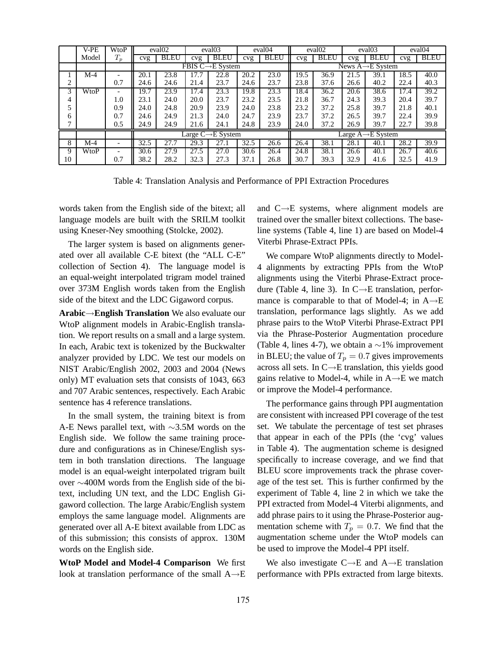|    | V-PE  | WtoP                     | eval <sub>02</sub>                        |                               | eval <sub>03</sub><br>eval <sub>04</sub> |             | eval <sub>02</sub> |             | eval <sub>03</sub> |                                | eval <sub>04</sub> |             |      |             |  |
|----|-------|--------------------------|-------------------------------------------|-------------------------------|------------------------------------------|-------------|--------------------|-------------|--------------------|--------------------------------|--------------------|-------------|------|-------------|--|
|    | Model | $T_p$                    | cvg                                       | <b>BLEU</b>                   | cvg                                      | <b>BLEU</b> | cvg                | <b>BLEU</b> | cvg                | <b>BLEU</b>                    | cvg                | <b>BLEU</b> | cvg  | <b>BLEU</b> |  |
|    |       |                          |                                           | FBIS $C \rightarrow E$ System |                                          |             |                    |             |                    | News $A \rightarrow E$ System  |                    |             |      |             |  |
|    | $M-4$ |                          | 20.1                                      | 23.8                          |                                          | 22.8        | 20.2               | 23.0        | 19.5               | 36.9                           | 21.5               | 39.1        | 18.5 | 40.0        |  |
| ◠  |       | 0.7                      | 24.6                                      | 24.6                          | 21.4                                     | 23.7        | 24.6               | 23.7        | 23.8               | 37.6                           | 26.6               | 40.2        | 22.4 | 40.3        |  |
| 3  | WtoP  |                          | 19.7                                      | 23.9                          | 17.4                                     | 23.3        | 19.8               | 23.3        | 18.4               | 36.2                           | 20.6               | 38.6        | 17.4 | 39.2        |  |
| 4  |       | 1.0                      | 23.1                                      | 24.0                          | 20.0                                     | 23.7        | 23.2               | 23.5        | 21.8               | 36.7                           | 24.3               | 39.3        | 20.4 | 39.7        |  |
|    |       | 0.9                      | 24.0                                      | 24.8                          | 20.9                                     | 23.9        | 24.0               | 23.8        | 23.2               | 37.2                           | 25.8               | 39.7        | 21.8 | 40.1        |  |
| 6  |       | 0.7                      | 24.6                                      | 24.9                          | 21.3                                     | 24.0        | 24.7               | 23.9        | 23.7               | 37.2                           | 26.5               | 39.7        | 22.4 | 39.9        |  |
|    |       | 0.5                      | 24.9                                      | 24.9                          | 21.6                                     | 24.1        | 24.8               | 23.9        | 24.0               | 37.2                           | 26.9               | 39.7        | 22.7 | 39.8        |  |
|    |       |                          | Large $\overline{C \rightarrow} E$ System |                               |                                          |             |                    |             |                    | Large $A \rightarrow E$ System |                    |             |      |             |  |
| 8  | $M-4$ | $\overline{\phantom{0}}$ | 32.5                                      | 27.7                          | 29.3                                     | 27.1        | 32.5               | 26.6        | 26.4               | 38.1                           | 28.1               | 40.1        | 28.2 | 39.9        |  |
| 9  | WtoP  | $\overline{\phantom{0}}$ | 30.6                                      | 27.9                          | 27.5                                     | 27.0        | 30.6               | 26.4        | 24.8               | 38.1                           | 26.6               | 40.1        | 26.7 | 40.6        |  |
| 10 |       | 0.7                      | 38.2                                      | 28.2                          | 32.3                                     | 27.3        | 37.1               | 26.8        | 30.7               | 39.3                           | 32.9               | 41.6        | 32.5 | 41.9        |  |

Table 4: Translation Analysis and Performance of PPI Extraction Procedures

words taken from the English side of the bitext; all language models are built with the SRILM toolkit using Kneser-Ney smoothing (Stolcke, 2002).

The larger system is based on alignments generated over all available C-E bitext (the "ALL C-E" collection of Section 4). The language model is an equal-weight interpolated trigram model trained over 373M English words taken from the English side of the bitext and the LDC Gigaword corpus.

**Arabic**→**English Translation** We also evaluate our WtoP alignment models in Arabic-English translation. We report results on a small and a large system. In each, Arabic text is tokenized by the Buckwalter analyzer provided by LDC. We test our models on NIST Arabic/English 2002, 2003 and 2004 (News only) MT evaluation sets that consists of 1043, 663 and 707 Arabic sentences, respectively. Each Arabic sentence has 4 reference translations.

In the small system, the training bitext is from A-E News parallel text, with ∼3.5M words on the English side. We follow the same training procedure and configurations as in Chinese/English system in both translation directions. The language model is an equal-weight interpolated trigram built over ∼400M words from the English side of the bitext, including UN text, and the LDC English Gigaword collection. The large Arabic/English system employs the same language model. Alignments are generated over all A-E bitext available from LDC as of this submission; this consists of approx. 130M words on the English side.

**WtoP Model and Model-4 Comparison** We first look at translation performance of the small A→E

and  $C \rightarrow E$  systems, where alignment models are trained over the smaller bitext collections. The baseline systems (Table 4, line 1) are based on Model-4 Viterbi Phrase-Extract PPIs.

We compare WtoP alignments directly to Model-4 alignments by extracting PPIs from the WtoP alignments using the Viterbi Phrase-Extract procedure (Table 4, line 3). In  $C \rightarrow E$  translation, performance is comparable to that of Model-4; in  $A \rightarrow E$ translation, performance lags slightly. As we add phrase pairs to the WtoP Viterbi Phrase-Extract PPI via the Phrase-Posterior Augmentation procedure (Table 4, lines 4-7), we obtain a  $\sim$ 1% improvement in BLEU; the value of  $T_p = 0.7$  gives improvements across all sets. In C→E translation, this yields good gains relative to Model-4, while in  $A \rightarrow E$  we match or improve the Model-4 performance.

The performance gains through PPI augmentation are consistent with increased PPI coverage of the test set. We tabulate the percentage of test set phrases that appear in each of the PPIs (the 'cvg' values in Table 4). The augmentation scheme is designed specifically to increase coverage, and we find that BLEU score improvements track the phrase coverage of the test set. This is further confirmed by the experiment of Table 4, line 2 in which we take the PPI extracted from Model-4 Viterbi alignments, and add phrase pairs to it using the Phrase-Posterior augmentation scheme with  $T_p = 0.7$ . We find that the augmentation scheme under the WtoP models can be used to improve the Model-4 PPI itself.

We also investigate  $C \rightarrow E$  and  $A \rightarrow E$  translation performance with PPIs extracted from large bitexts.